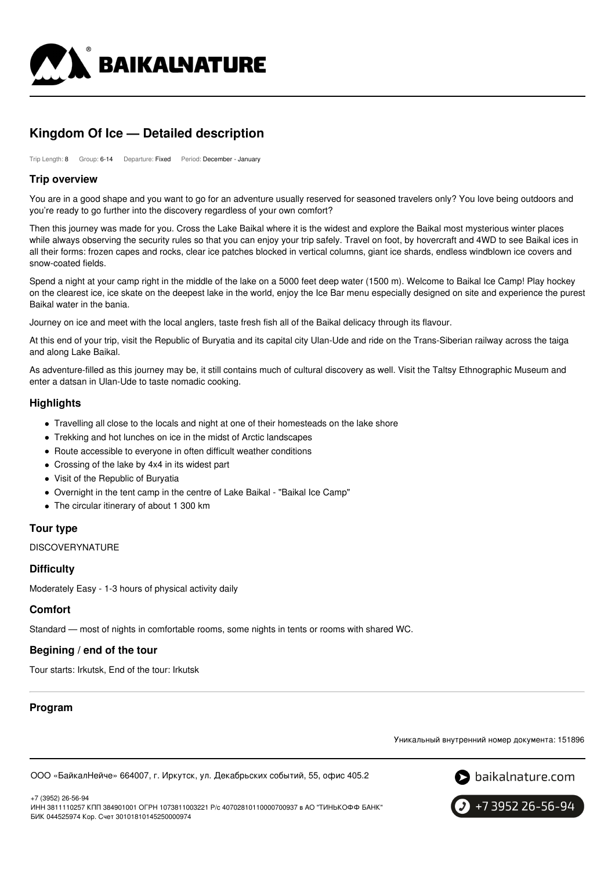

# **Kingdom Of Ice — Detailed description**

Trip Length: 8 Group: 6-14 Departure: Fixed Period: December - January

### **Trip overview**

You are in a good shape and you want to go for an adventure usually reserved for seasoned travelers only? You love being outdoors and you're ready to go further into the discovery regardless of your own comfort?

Then this journey was made for you. Cross the Lake Baikal where it is the widest and explore the Baikal most mysterious winter places while always observing the security rules so that you can enjoy your trip safely. Travel on foot, by hovercraft and 4WD to see Baikal ices in all their forms: frozen capes and rocks, clear ice patches blocked in vertical columns, giant ice shards, endless windblown ice covers and snow-coated fields.

Spend a night at your camp right in the middle of the lake on a 5000 feet deep water (1500 m). Welcome to Baikal Ice Camp! Play hockey on the clearest ice, ice skate on the deepest lake in the world, enjoy the Ice Bar menu especially designed on site and experience the purest Baikal water in the bania.

Journey on ice and meet with the local anglers, taste fresh fish all of the Baikal delicacy through its flavour.

At this end of your trip, visit the Republic of Buryatia and its capital city Ulan-Ude and ride on the Trans-Siberian railway across the taiga and along Lake Baikal.

As adventure-filled as this journey may be, it still contains much of cultural discovery as well. Visit the Taltsy Ethnographic Museum and enter a datsan in Ulan-Ude to taste nomadic cooking.

# **Highlights**

- Travelling all close to the locals and night at one of their homesteads on the lake shore
- Trekking and hot lunches on ice in the midst of Arctic landscapes
- Route accessible to everyone in often difficult weather conditions
- Crossing of the lake by 4x4 in its widest part
- Visit of the Republic of Buryatia
- Overnight in the tent camp in the centre of Lake Baikal "Baikal Ice Camp"
- The circular itinerary of about 1 300 km

### **Tour type**

**DISCOVERYNATURE** 

### **Difficulty**

Moderately Easy - 1-3 hours of physical activity daily

### **Comfort**

Standard — most of nights in comfortable rooms, some nights in tents or rooms with shared WC.

### **Begining / end of the tour**

Tour starts: Irkutsk, End of the tour: Irkutsk

# **Program**

Уникальный внутренний номер документа: 151896

ООО «БайкалНейче» 664007, г. Иркутск, ул. Декабрьских событий, 55, офис 405.2



+7 (3952) 26-56-94

ИНН 3811110257 КПП 384901001 ОГРН 1073811003221 Р/с 40702810110000700937 в АО "ТИНЬКОФФ БАНК" БИК 044525974 Кор. Счет 30101810145250000974

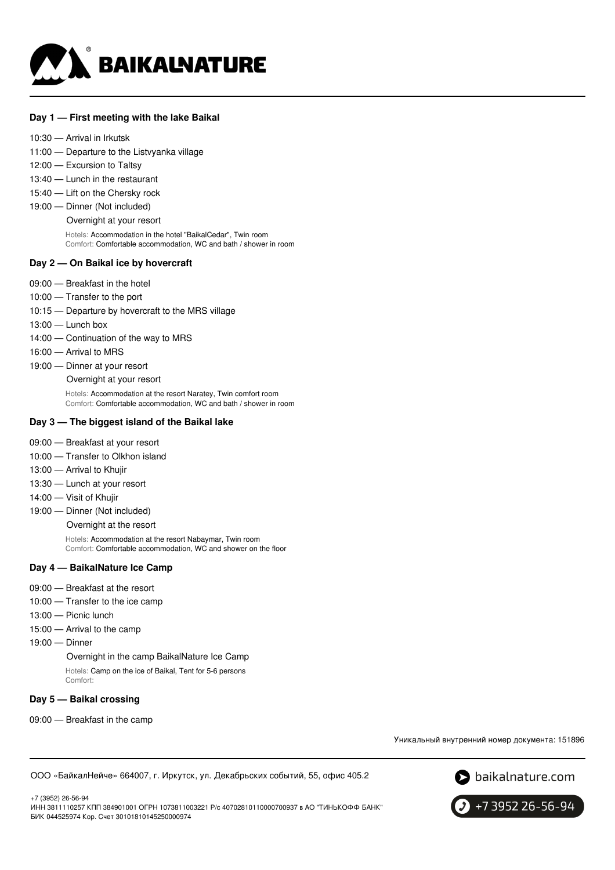

#### **Day 1 — First meeting with the lake Baikal**

- 10:30 Arrival in Irkutsk
- 11:00 Departure to the Listvyanka village
- 12:00 Excursion to Taltsy
- 13:40 Lunch in the restaurant
- 15:40 Lift on the Chersky rock
- 19:00 Dinner (Not included)

Overnight at your resort

Hotels: Accommodation in the hotel "BaikalCedar", Twin room Comfort: Comfortable accommodation, WC and bath / shower in room

#### **Day 2 — On Baikal ice by hovercraft**

- 09:00 Breakfast in the hotel
- 10:00 Transfer to the port
- 10:15 Departure by hovercraft to the MRS village
- 13:00 Lunch box
- 14:00 Continuation of the way to MRS
- 16:00 Arrival to MRS
- 19:00 Dinner at your resort
	- Overnight at your resort

Hotels: Accommodation at the resort Naratey, Twin comfort room Comfort: Comfortable accommodation, WC and bath / shower in room

#### **Day 3 — The biggest island of the Baikal lake**

- 09:00 Breakfast at your resort
- 10:00 Transfer to Olkhon island
- 13:00 Arrival to Khujir
- 13:30 Lunch at your resort
- 14:00 Visit of Khujir
- 19:00 Dinner (Not included)

Overnight at the resort

Hotels: Accommodation at the resort Nabaymar, Twin room Comfort: Comfortable accommodation, WC and shower on the floor

#### **Day 4 — BaikalNature Ice Camp**

- 09:00 Breakfast at the resort
- 10:00 Transfer to the ice camp
- 13:00 Picnic lunch
- 15:00 Arrival to the camp
- 19:00 Dinner

Overnight in the camp BaikalNature Ice Camp Hotels: Camp on the ice of Baikal, Tent for 5-6 persons Comfort:

#### **Day 5 — Baikal crossing**

09:00 — Breakfast in the camp

Уникальный внутренний номер документа: 151896

ООО «БайкалНейче» 664007, г. Иркутск, ул. Декабрьских событий, 55, офис 405.2



+7 (3952) 26-56-94 ИНН 3811110257 КПП 384901001 ОГРН 1073811003221 Р/с 40702810110000700937 в АО "ТИНЬКОФФ БАНК" БИК 044525974 Кор. Счет 30101810145250000974

+7 3952 26-56-94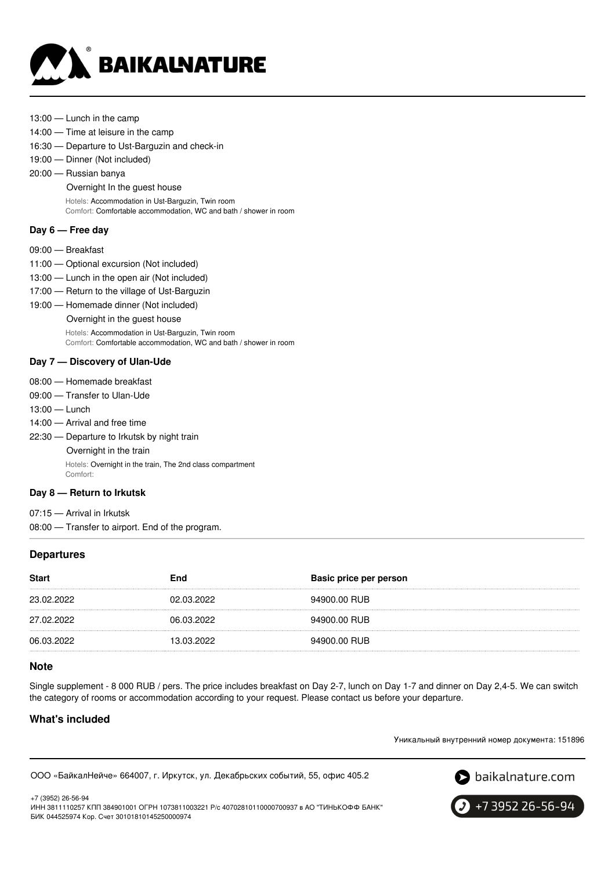

- 13:00 Lunch in the camp
- 14:00 Time at leisure in the camp
- 16:30 Departure to Ust-Barguzin and check-in
- 19:00 Dinner (Not included)
- 20:00 Russian banya

Overnight In the guest house

Hotels: Accommodation in Ust-Barguzin, Twin room Comfort: Comfortable accommodation, WC and bath / shower in room

### **Day 6 — Free day**

- 09:00 Breakfast
- 11:00 Optional excursion (Not included)
- 13:00 Lunch in the open air (Not included)
- 17:00 Return to the village of Ust-Barguzin
- 19:00 Homemade dinner (Not included)
	- Overnight in the guest house

Hotels: Accommodation in Ust-Barguzin, Twin room

Comfort: Comfortable accommodation, WC and bath / shower in room

### **Day 7 — Discovery of Ulan-Ude**

- 08:00 Homemade breakfast
- 09:00 Transfer to Ulan-Ude
- 13:00 Lunch
- 14:00 Arrival and free time
- 22:30 Departure to Irkutsk by night train Overnight in the train Hotels: Overnight in the train, The 2nd class compartment Comfort:

#### **Day 8 — Return to Irkutsk**

07:15 — Arrival in Irkutsk 08:00 — Transfer to airport. End of the program.

### **Departures**

| <b>Start</b> | End        | Basic price per person |
|--------------|------------|------------------------|
| 23.02.2022   | 02.03.2022 | 94900.00 RUB           |
| 27.02.2022   | 06.03.2022 | 94900.00 RUB           |
| 06.03.2022   | 13.03.2022 | 94900.00 RUB           |

### **Note**

Single supplement - 8 000 RUB / pers. The price includes breakfast on Day 2-7, lunch on Day 1-7 and dinner on Day 2,4-5. We can switch the category of rooms or accommodation according to your request. Please contact us before your departure.

# **What's included**

Уникальный внутренний номер документа: 151896

ООО «БайкалНейче» 664007, г. Иркутск, ул. Декабрьских событий, 55, офис 405.2



+7 (3952) 26-56-94 ИНН 3811110257 КПП 384901001 ОГРН 1073811003221 Р/с 40702810110000700937 в АО "ТИНЬКОФФ БАНК" БИК 044525974 Кор. Счет 30101810145250000974

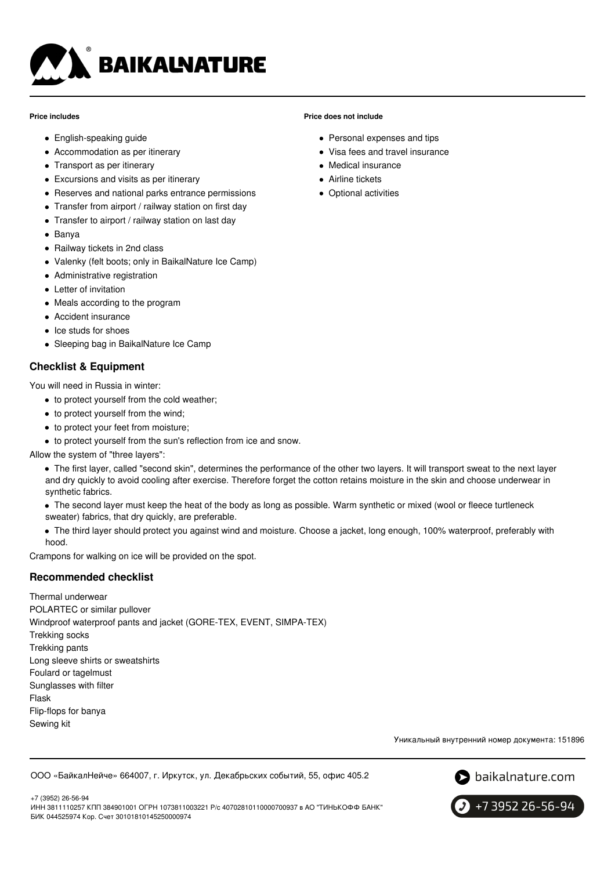

#### **Price includes**

- English-speaking guide
- Accommodation as per itinerary
- Transport as per itinerary
- Excursions and visits as per itinerary
- Reserves and national parks entrance permissions
- Transfer from airport / railway station on first day
- Transfer to airport / railway station on last day
- Banya
- Railway tickets in 2nd class
- Valenky (felt boots; only in BaikalNature Ice Camp)
- Administrative registration
- Letter of invitation
- Meals according to the program
- Accident insurance
- Ice studs for shoes
- Sleeping bag in BaikalNature Ice Camp

# **Checklist & Equipment**

You will need in Russia in winter:

- to protect yourself from the cold weather;
- to protect yourself from the wind;
- to protect your feet from moisture;
- to protect yourself from the sun's reflection from ice and snow.

Allow the system of "three layers":

- The first layer, called "second skin", determines the performance of the other two layers. It will transport sweat to the next layer and dry quickly to avoid cooling after exercise. Therefore forget the cotton retains moisture in the skin and choose underwear in synthetic fabrics.
- The second layer must keep the heat of the body as long as possible. Warm synthetic or mixed (wool or fleece turtleneck sweater) fabrics, that dry quickly, are preferable.
- The third layer should protect you against wind and moisture. Choose a jacket, long enough, 100% waterproof, preferably with hood.

Crampons for walking on ice will be provided on the spot.

# **Recommended checklist**

Thermal underwear POLARTEC or similar pullover Windproof waterproof pants and jacket (GORE-TEX, EVENT, SIMPA-TEX) Trekking socks Trekking pants Long sleeve shirts or sweatshirts Foulard or tagelmust Sunglasses with filter Flask Flip-flops for banya Sewing kit

Уникальный внутренний номер документа: 151896

ООО «БайкалНейче» 664007, г. Иркутск, ул. Декабрьских событий, 55, офис 405.2



+7 3952 26-56-94

#### **Price does not include**

- Personal expenses and tips
- Visa fees and travel insurance
- Medical insurance
- **Airline tickets**
- Optional activities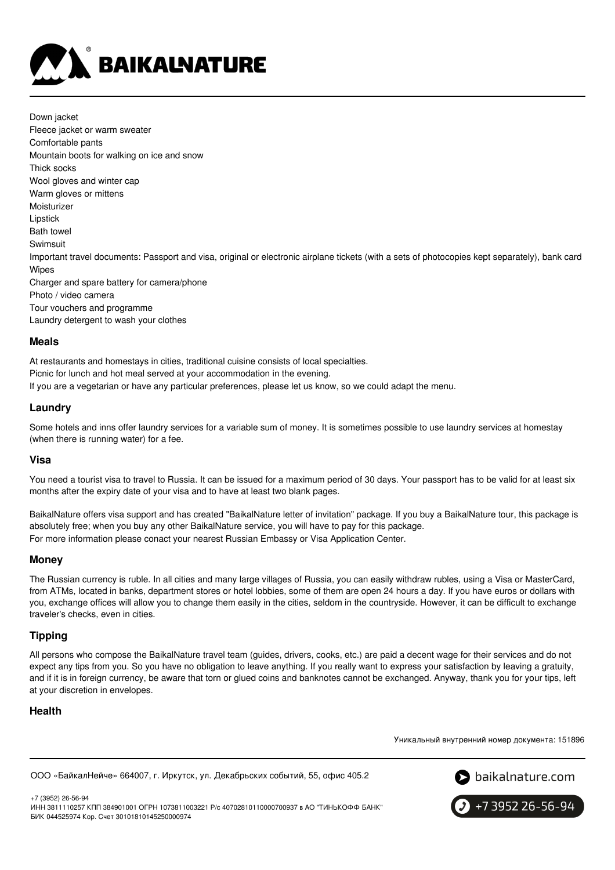

Down jacket Fleece jacket or warm sweater Comfortable pants Mountain boots for walking on ice and snow Thick socks Wool gloves and winter cap Warm gloves or mittens Moisturizer Lipstick Bath towel Swimsuit Important travel documents: Passport and visa, original or electronic airplane tickets (with a sets of photocopies kept separately), bank card Wipes Charger and spare battery for camera/phone Photo / video camera Tour vouchers and programme Laundry detergent to wash your clothes

### **Meals**

At restaurants and homestays in cities, traditional cuisine consists of local specialties. Picnic for lunch and hot meal served at your accommodation in the evening. If you are a vegetarian or have any particular preferences, please let us know, so we could adapt the menu.

# **Laundry**

Some hotels and inns offer laundry services for a variable sum of money. It is sometimes possible to use laundry services at homestay (when there is running water) for a fee.

### **Visa**

You need a tourist visa to travel to Russia. It can be issued for a maximum period of 30 days. Your passport has to be valid for at least six months after the expiry date of your visa and to have at least two blank pages.

BaikalNature offers visa support and has created "BaikalNature letter of invitation" package. If you buy a BaikalNature tour, this package is absolutely free; when you buy any other BaikalNature service, you will have to pay for this package. For more information please conact your nearest Russian Embassy or Visa Application Center.

### **Money**

The Russian currency is ruble. In all cities and many large villages of Russia, you can easily withdraw rubles, using a Visa or MasterCard, from ATMs, located in banks, department stores or hotel lobbies, some of them are open 24 hours a day. If you have euros or dollars with you, exchange offices will allow you to change them easily in the cities, seldom in the countryside. However, it can be difficult to exchange traveler's checks, even in cities.

# **Tipping**

All persons who compose the BaikalNature travel team (guides, drivers, cooks, etc.) are paid a decent wage for their services and do not expect any tips from you. So you have no obligation to leave anything. If you really want to express your satisfaction by leaving a gratuity, and if it is in foreign currency, be aware that torn or glued coins and banknotes cannot be exchanged. Anyway, thank you for your tips, left at your discretion in envelopes.

# **Health**

Уникальный внутренний номер документа: 151896

ООО «БайкалНейче» 664007, г. Иркутск, ул. Декабрьских событий, 55, офис 405.2



+7 (3952) 26-56-94 ИНН 3811110257 КПП 384901001 ОГРН 1073811003221 Р/с 40702810110000700937 в АО "ТИНЬКОФФ БАНК" БИК 044525974 Кор. Счет 30101810145250000974